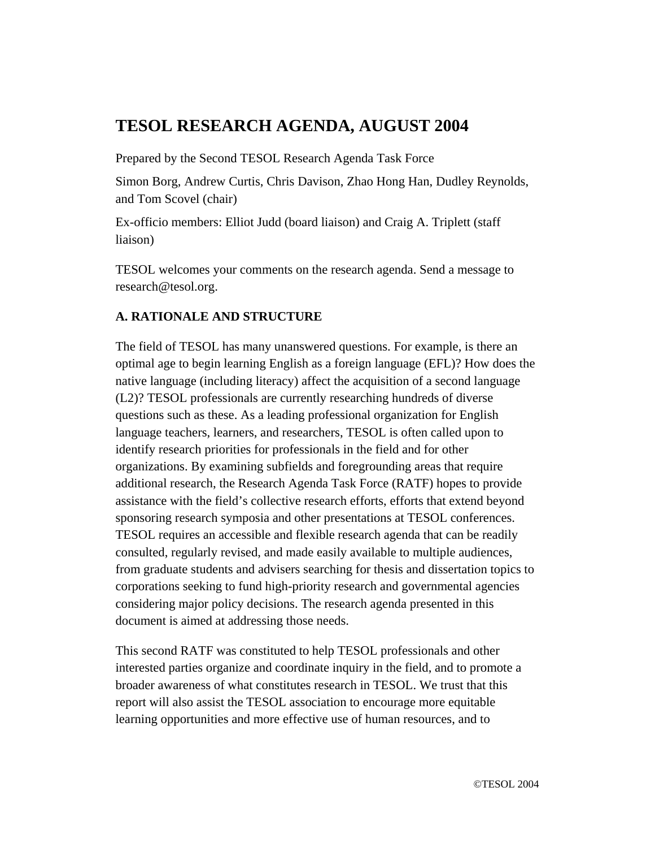# **TESOL RESEARCH AGENDA, AUGUST 2004**

Prepared by the Second TESOL Research Agenda Task Force

Simon Borg, Andrew Curtis, Chris Davison, Zhao Hong Han, Dudley Reynolds, and Tom Scovel (chair)

Ex-officio members: Elliot Judd (board liaison) and Craig A. Triplett (staff liaison)

TESOL welcomes your comments on the research agenda. Send a message to research@tesol.org.

# **A. RATIONALE AND STRUCTURE**

The field of TESOL has many unanswered questions. For example, is there an optimal age to begin learning English as a foreign language (EFL)? How does the native language (including literacy) affect the acquisition of a second language (L2)? TESOL professionals are currently researching hundreds of diverse questions such as these. As a leading professional organization for English language teachers, learners, and researchers, TESOL is often called upon to identify research priorities for professionals in the field and for other organizations. By examining subfields and foregrounding areas that require additional research, the Research Agenda Task Force (RATF) hopes to provide assistance with the field's collective research efforts, efforts that extend beyond sponsoring research symposia and other presentations at TESOL conferences. TESOL requires an accessible and flexible research agenda that can be readily consulted, regularly revised, and made easily available to multiple audiences, from graduate students and advisers searching for thesis and dissertation topics to corporations seeking to fund high-priority research and governmental agencies considering major policy decisions. The research agenda presented in this document is aimed at addressing those needs.

This second RATF was constituted to help TESOL professionals and other interested parties organize and coordinate inquiry in the field, and to promote a broader awareness of what constitutes research in TESOL. We trust that this report will also assist the TESOL association to encourage more equitable learning opportunities and more effective use of human resources, and to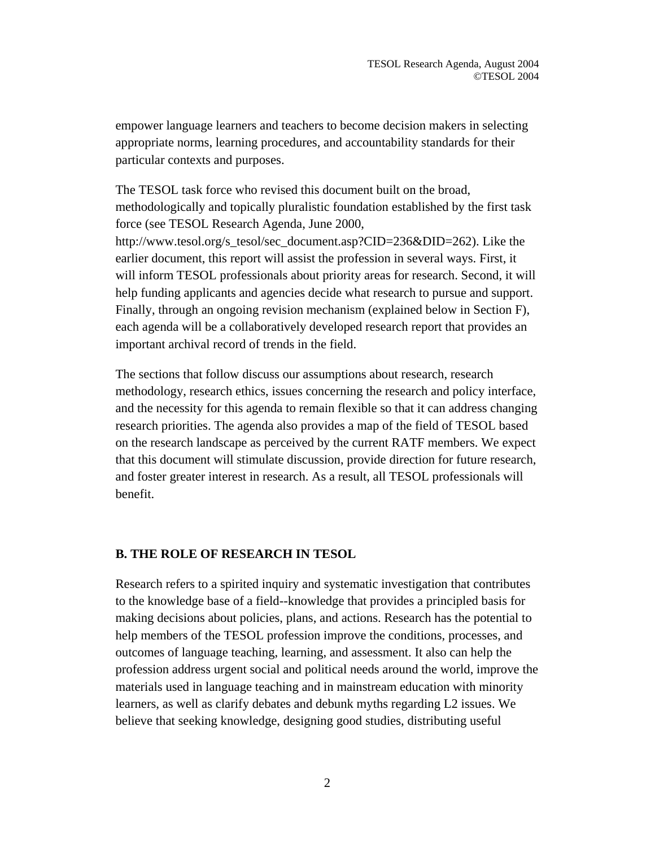empower language learners and teachers to become decision makers in selecting appropriate norms, learning procedures, and accountability standards for their particular contexts and purposes.

The TESOL task force who revised this document built on the broad, methodologically and topically pluralistic foundation established by the first task force (see TESOL Research Agenda, June 2000, http://www.tesol.org/s\_tesol/sec\_document.asp?CID=236&DID=262). Like the earlier document, this report will assist the profession in several ways. First, it will inform TESOL professionals about priority areas for research. Second, it will help funding applicants and agencies decide what research to pursue and support. Finally, through an ongoing revision mechanism (explained below in Section F), each agenda will be a collaboratively developed research report that provides an important archival record of trends in the field.

The sections that follow discuss our assumptions about research, research methodology, research ethics, issues concerning the research and policy interface, and the necessity for this agenda to remain flexible so that it can address changing research priorities. The agenda also provides a map of the field of TESOL based on the research landscape as perceived by the current RATF members. We expect that this document will stimulate discussion, provide direction for future research, and foster greater interest in research. As a result, all TESOL professionals will benefit.

### **B. THE ROLE OF RESEARCH IN TESOL**

Research refers to a spirited inquiry and systematic investigation that contributes to the knowledge base of a field--knowledge that provides a principled basis for making decisions about policies, plans, and actions. Research has the potential to help members of the TESOL profession improve the conditions, processes, and outcomes of language teaching, learning, and assessment. It also can help the profession address urgent social and political needs around the world, improve the materials used in language teaching and in mainstream education with minority learners, as well as clarify debates and debunk myths regarding L2 issues. We believe that seeking knowledge, designing good studies, distributing useful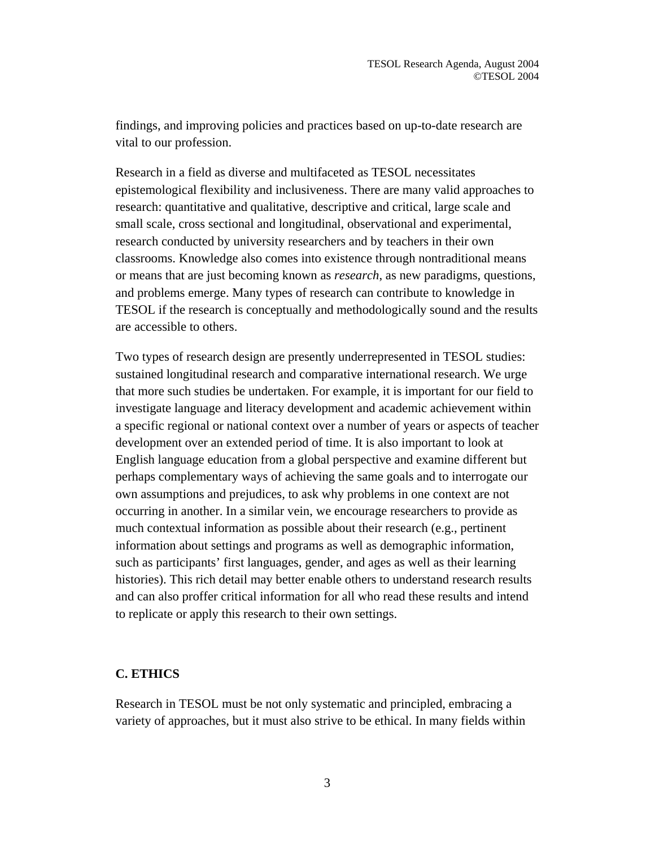findings, and improving policies and practices based on up-to-date research are vital to our profession.

Research in a field as diverse and multifaceted as TESOL necessitates epistemological flexibility and inclusiveness. There are many valid approaches to research: quantitative and qualitative, descriptive and critical, large scale and small scale, cross sectional and longitudinal, observational and experimental, research conducted by university researchers and by teachers in their own classrooms. Knowledge also comes into existence through nontraditional means or means that are just becoming known as *research*, as new paradigms, questions, and problems emerge. Many types of research can contribute to knowledge in TESOL if the research is conceptually and methodologically sound and the results are accessible to others.

Two types of research design are presently underrepresented in TESOL studies: sustained longitudinal research and comparative international research. We urge that more such studies be undertaken. For example, it is important for our field to investigate language and literacy development and academic achievement within a specific regional or national context over a number of years or aspects of teacher development over an extended period of time. It is also important to look at English language education from a global perspective and examine different but perhaps complementary ways of achieving the same goals and to interrogate our own assumptions and prejudices, to ask why problems in one context are not occurring in another. In a similar vein, we encourage researchers to provide as much contextual information as possible about their research (e.g., pertinent information about settings and programs as well as demographic information, such as participants' first languages, gender, and ages as well as their learning histories). This rich detail may better enable others to understand research results and can also proffer critical information for all who read these results and intend to replicate or apply this research to their own settings.

# **C. ETHICS**

Research in TESOL must be not only systematic and principled, embracing a variety of approaches, but it must also strive to be ethical. In many fields within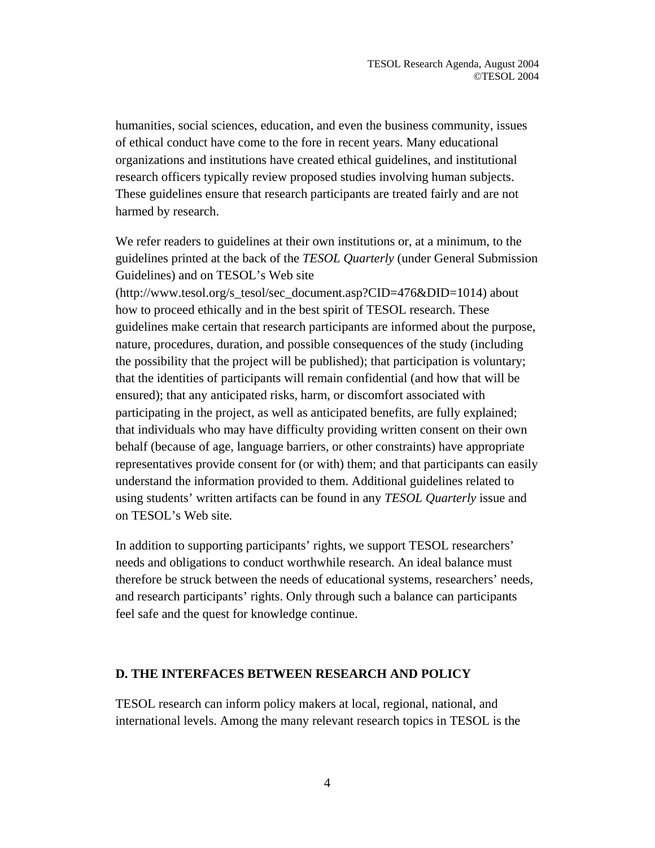humanities, social sciences, education, and even the business community, issues of ethical conduct have come to the fore in recent years. Many educational organizations and institutions have created ethical guidelines, and institutional research officers typically review proposed studies involving human subjects. These guidelines ensure that research participants are treated fairly and are not harmed by research.

We refer readers to guidelines at their own institutions or, at a minimum, to the guidelines printed at the back of the *TESOL Quarterly* (under General Submission Guidelines) and on TESOL's Web site

(http://www.tesol.org/s\_tesol/sec\_document.asp?CID=476&DID=1014) about how to proceed ethically and in the best spirit of TESOL research. These guidelines make certain that research participants are informed about the purpose, nature, procedures, duration, and possible consequences of the study (including the possibility that the project will be published); that participation is voluntary; that the identities of participants will remain confidential (and how that will be ensured); that any anticipated risks, harm, or discomfort associated with participating in the project, as well as anticipated benefits, are fully explained; that individuals who may have difficulty providing written consent on their own behalf (because of age, language barriers, or other constraints) have appropriate representatives provide consent for (or with) them; and that participants can easily understand the information provided to them. Additional guidelines related to using students' written artifacts can be found in any *TESOL Quarterly* issue and on TESOL's Web site*.*

In addition to supporting participants' rights, we support TESOL researchers' needs and obligations to conduct worthwhile research. An ideal balance must therefore be struck between the needs of educational systems, researchers' needs, and research participants' rights. Only through such a balance can participants feel safe and the quest for knowledge continue.

### **D. THE INTERFACES BETWEEN RESEARCH AND POLICY**

TESOL research can inform policy makers at local, regional, national, and international levels. Among the many relevant research topics in TESOL is the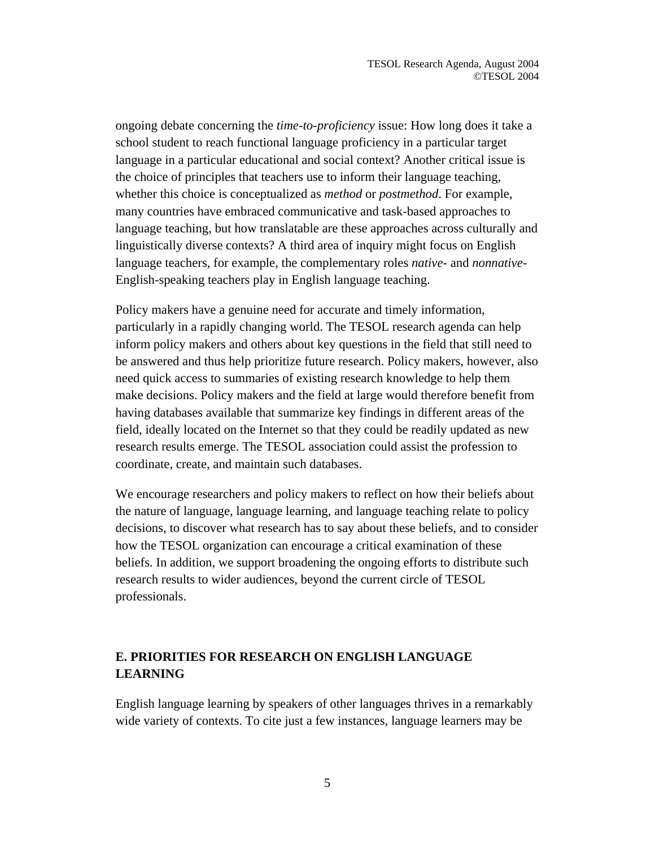ongoing debate concerning the *time-to-proficiency* issue: How long does it take a school student to reach functional language proficiency in a particular target language in a particular educational and social context? Another critical issue is the choice of principles that teachers use to inform their language teaching, whether this choice is conceptualized as *method* or *postmethod*. For example, many countries have embraced communicative and task-based approaches to language teaching, but how translatable are these approaches across culturally and linguistically diverse contexts? A third area of inquiry might focus on English language teachers, for example, the complementary roles *native-* and *nonnative-*English-speaking teachers play in English language teaching.

Policy makers have a genuine need for accurate and timely information, particularly in a rapidly changing world. The TESOL research agenda can help inform policy makers and others about key questions in the field that still need to be answered and thus help prioritize future research. Policy makers, however, also need quick access to summaries of existing research knowledge to help them make decisions. Policy makers and the field at large would therefore benefit from having databases available that summarize key findings in different areas of the field, ideally located on the Internet so that they could be readily updated as new research results emerge. The TESOL association could assist the profession to coordinate, create, and maintain such databases.

We encourage researchers and policy makers to reflect on how their beliefs about the nature of language, language learning, and language teaching relate to policy decisions, to discover what research has to say about these beliefs, and to consider how the TESOL organization can encourage a critical examination of these beliefs. In addition, we support broadening the ongoing efforts to distribute such research results to wider audiences, beyond the current circle of TESOL professionals.

# **E. PRIORITIES FOR RESEARCH ON ENGLISH LANGUAGE LEARNING**

English language learning by speakers of other languages thrives in a remarkably wide variety of contexts. To cite just a few instances, language learners may be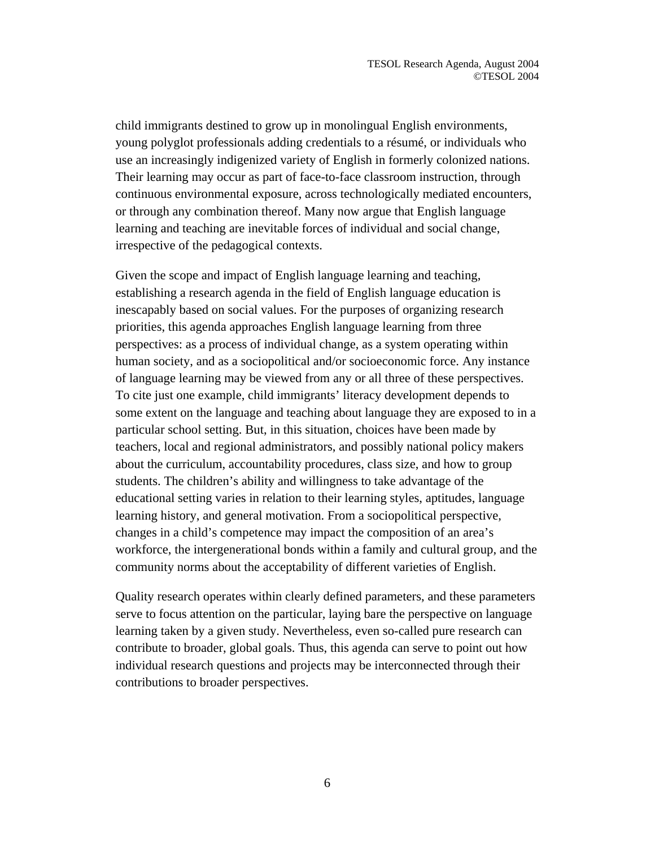child immigrants destined to grow up in monolingual English environments, young polyglot professionals adding credentials to a résumé, or individuals who use an increasingly indigenized variety of English in formerly colonized nations. Their learning may occur as part of face-to-face classroom instruction, through continuous environmental exposure, across technologically mediated encounters, or through any combination thereof. Many now argue that English language learning and teaching are inevitable forces of individual and social change, irrespective of the pedagogical contexts.

Given the scope and impact of English language learning and teaching, establishing a research agenda in the field of English language education is inescapably based on social values. For the purposes of organizing research priorities, this agenda approaches English language learning from three perspectives: as a process of individual change, as a system operating within human society, and as a sociopolitical and/or socioeconomic force. Any instance of language learning may be viewed from any or all three of these perspectives. To cite just one example, child immigrants' literacy development depends to some extent on the language and teaching about language they are exposed to in a particular school setting. But, in this situation, choices have been made by teachers, local and regional administrators, and possibly national policy makers about the curriculum, accountability procedures, class size, and how to group students. The children's ability and willingness to take advantage of the educational setting varies in relation to their learning styles, aptitudes, language learning history, and general motivation. From a sociopolitical perspective, changes in a child's competence may impact the composition of an area's workforce, the intergenerational bonds within a family and cultural group, and the community norms about the acceptability of different varieties of English.

Quality research operates within clearly defined parameters, and these parameters serve to focus attention on the particular, laying bare the perspective on language learning taken by a given study. Nevertheless, even so-called pure research can contribute to broader, global goals. Thus, this agenda can serve to point out how individual research questions and projects may be interconnected through their contributions to broader perspectives.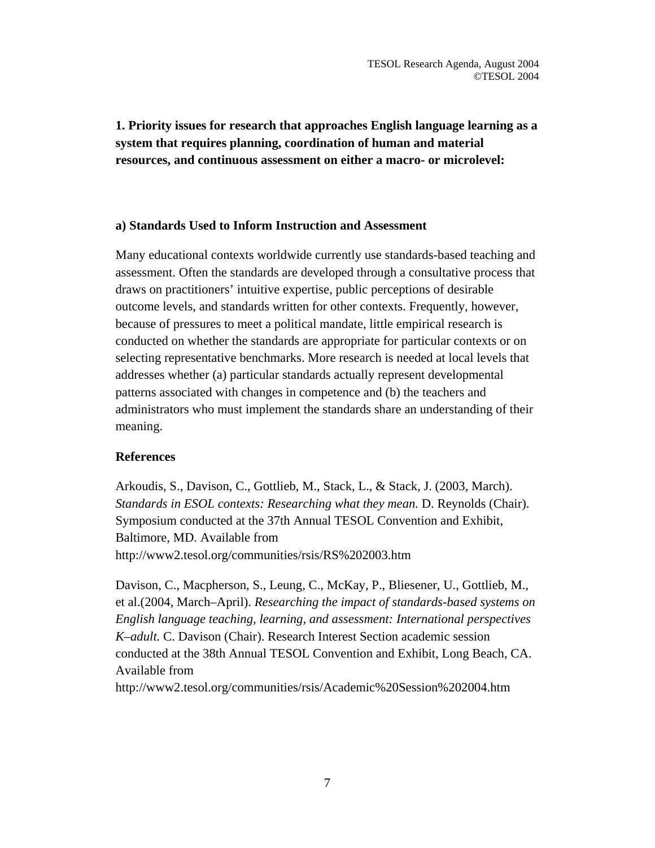**1. Priority issues for research that approaches English language learning as a system that requires planning, coordination of human and material resources, and continuous assessment on either a macro- or microlevel:** 

### **a) Standards Used to Inform Instruction and Assessment**

Many educational contexts worldwide currently use standards-based teaching and assessment. Often the standards are developed through a consultative process that draws on practitioners' intuitive expertise, public perceptions of desirable outcome levels, and standards written for other contexts. Frequently, however, because of pressures to meet a political mandate, little empirical research is conducted on whether the standards are appropriate for particular contexts or on selecting representative benchmarks. More research is needed at local levels that addresses whether (a) particular standards actually represent developmental patterns associated with changes in competence and (b) the teachers and administrators who must implement the standards share an understanding of their meaning.

### **References**

Arkoudis, S., Davison, C., Gottlieb, M., Stack, L., & Stack, J. (2003, March). *Standards in ESOL contexts: Researching what they mean.* D. Reynolds (Chair). Symposium conducted at the 37th Annual TESOL Convention and Exhibit, Baltimore, MD. Available from http://www2.tesol.org/communities/rsis/RS%202003.htm

Davison, C., Macpherson, S., Leung, C., McKay, P., Bliesener, U., Gottlieb, M., et al.(2004, March–April). *Researching the impact of standards-based systems on English language teaching, learning, and assessment: International perspectives K–adult.* C. Davison (Chair). Research Interest Section academic session conducted at the 38th Annual TESOL Convention and Exhibit, Long Beach, CA. Available from http://www2.tesol.org/communities/rsis/Academic%20Session%202004.htm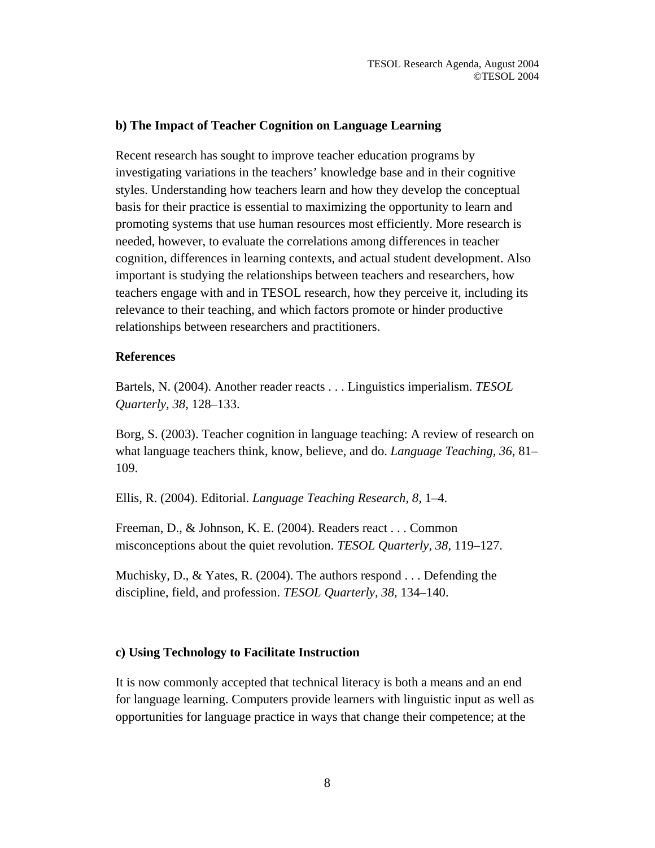### **b) The Impact of Teacher Cognition on Language Learning**

Recent research has sought to improve teacher education programs by investigating variations in the teachers' knowledge base and in their cognitive styles. Understanding how teachers learn and how they develop the conceptual basis for their practice is essential to maximizing the opportunity to learn and promoting systems that use human resources most efficiently. More research is needed, however, to evaluate the correlations among differences in teacher cognition, differences in learning contexts, and actual student development. Also important is studying the relationships between teachers and researchers, how teachers engage with and in TESOL research, how they perceive it, including its relevance to their teaching, and which factors promote or hinder productive relationships between researchers and practitioners.

#### **References**

Bartels, N. (2004). Another reader reacts . . . Linguistics imperialism. *TESOL Quarterly, 38,* 128–133.

Borg, S. (2003). Teacher cognition in language teaching: A review of research on what language teachers think, know, believe, and do. *Language Teaching, 36*, 81– 109.

Ellis, R. (2004). Editorial. *Language Teaching Research, 8,* 1–4.

Freeman, D., & Johnson, K. E. (2004). Readers react . . . Common misconceptions about the quiet revolution. *TESOL Quarterly, 38,* 119–127.

Muchisky, D., & Yates, R. (2004). The authors respond . . . Defending the discipline, field, and profession. *TESOL Quarterly, 38,* 134–140.

### **c) Using Technology to Facilitate Instruction**

It is now commonly accepted that technical literacy is both a means and an end for language learning. Computers provide learners with linguistic input as well as opportunities for language practice in ways that change their competence; at the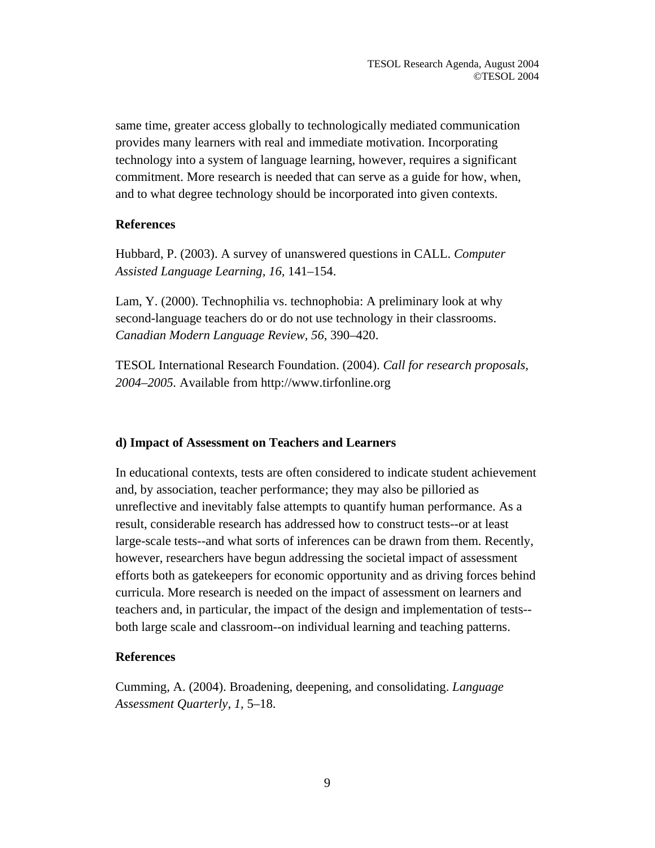same time, greater access globally to technologically mediated communication provides many learners with real and immediate motivation. Incorporating technology into a system of language learning, however, requires a significant commitment. More research is needed that can serve as a guide for how, when, and to what degree technology should be incorporated into given contexts.

# **References**

Hubbard, P. (2003). A survey of unanswered questions in CALL. *Computer Assisted Language Learning, 16,* 141–154.

Lam, Y. (2000). Technophilia vs. technophobia: A preliminary look at why second-language teachers do or do not use technology in their classrooms. *Canadian Modern Language Review, 56,* 390–420.

TESOL International Research Foundation. (2004). *Call for research proposals, 2004–2005.* Available from http://www.tirfonline.org

### **d) Impact of Assessment on Teachers and Learners**

In educational contexts, tests are often considered to indicate student achievement and, by association, teacher performance; they may also be pilloried as unreflective and inevitably false attempts to quantify human performance. As a result, considerable research has addressed how to construct tests--or at least large-scale tests--and what sorts of inferences can be drawn from them. Recently, however, researchers have begun addressing the societal impact of assessment efforts both as gatekeepers for economic opportunity and as driving forces behind curricula. More research is needed on the impact of assessment on learners and teachers and, in particular, the impact of the design and implementation of tests- both large scale and classroom--on individual learning and teaching patterns.

### **References**

Cumming, A. (2004). Broadening, deepening, and consolidating. *Language Assessment Quarterly, 1,* 5–18.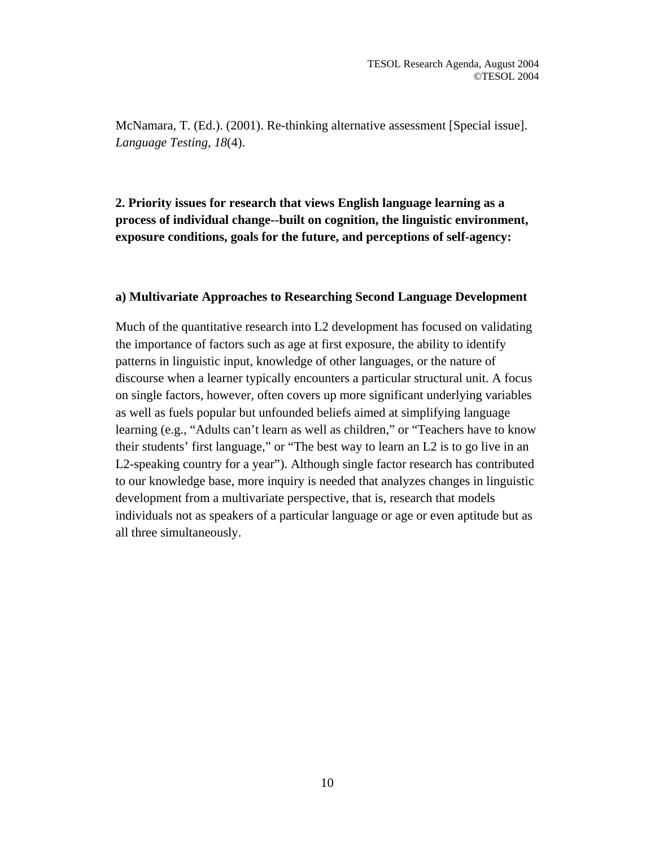McNamara, T. (Ed.). (2001). Re-thinking alternative assessment [Special issue]. *Language Testing, 18*(4).

**2. Priority issues for research that views English language learning as a process of individual change--built on cognition, the linguistic environment, exposure conditions, goals for the future, and perceptions of self-agency:** 

#### **a) Multivariate Approaches to Researching Second Language Development**

Much of the quantitative research into L2 development has focused on validating the importance of factors such as age at first exposure, the ability to identify patterns in linguistic input, knowledge of other languages, or the nature of discourse when a learner typically encounters a particular structural unit. A focus on single factors, however, often covers up more significant underlying variables as well as fuels popular but unfounded beliefs aimed at simplifying language learning (e.g., "Adults can't learn as well as children," or "Teachers have to know their students' first language," or "The best way to learn an L2 is to go live in an L2-speaking country for a year"). Although single factor research has contributed to our knowledge base, more inquiry is needed that analyzes changes in linguistic development from a multivariate perspective, that is, research that models individuals not as speakers of a particular language or age or even aptitude but as all three simultaneously.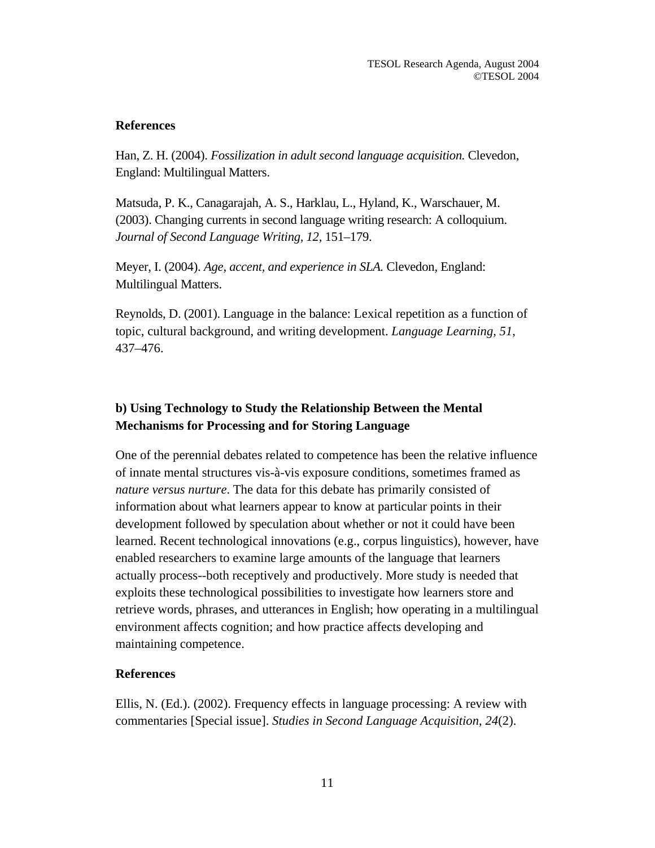# **References**

Han, Z. H. (2004). *Fossilization in adult second language acquisition.* Clevedon, England: Multilingual Matters.

Matsuda, P. K., Canagarajah, A. S., Harklau, L., Hyland, K., Warschauer, M. (2003). Changing currents in second language writing research: A colloquium. *Journal of Second Language Writing, 12,* 151–179.

Meyer, I. (2004). *Age, accent, and experience in SLA.* Clevedon, England: Multilingual Matters.

Reynolds, D. (2001). Language in the balance: Lexical repetition as a function of topic, cultural background, and writing development. *Language Learning, 51*, 437–476.

# **b) Using Technology to Study the Relationship Between the Mental Mechanisms for Processing and for Storing Language**

One of the perennial debates related to competence has been the relative influence of innate mental structures vis-à-vis exposure conditions, sometimes framed as *nature versus nurture*. The data for this debate has primarily consisted of information about what learners appear to know at particular points in their development followed by speculation about whether or not it could have been learned. Recent technological innovations (e.g., corpus linguistics), however, have enabled researchers to examine large amounts of the language that learners actually process--both receptively and productively. More study is needed that exploits these technological possibilities to investigate how learners store and retrieve words, phrases, and utterances in English; how operating in a multilingual environment affects cognition; and how practice affects developing and maintaining competence.

# **References**

Ellis, N. (Ed.). (2002). Frequency effects in language processing: A review with commentaries [Special issue]. *Studies in Second Language Acquisition, 24*(2).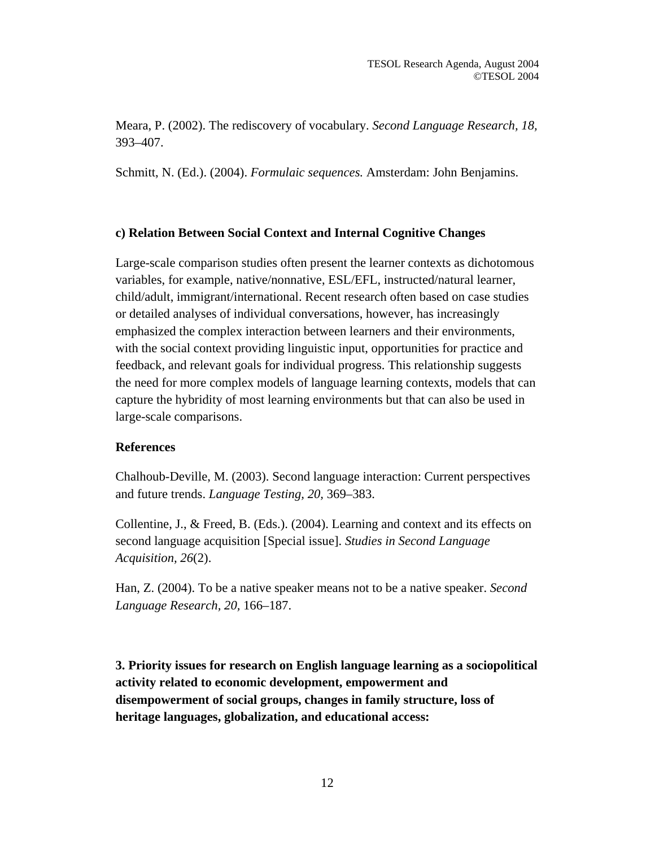Meara, P. (2002). The rediscovery of vocabulary. *Second Language Research, 18,* 393–407.

Schmitt, N. (Ed.). (2004). *Formulaic sequences.* Amsterdam: John Benjamins.

# **c) Relation Between Social Context and Internal Cognitive Changes**

Large-scale comparison studies often present the learner contexts as dichotomous variables, for example, native/nonnative, ESL/EFL, instructed/natural learner, child/adult, immigrant/international. Recent research often based on case studies or detailed analyses of individual conversations, however, has increasingly emphasized the complex interaction between learners and their environments, with the social context providing linguistic input, opportunities for practice and feedback, and relevant goals for individual progress. This relationship suggests the need for more complex models of language learning contexts, models that can capture the hybridity of most learning environments but that can also be used in large-scale comparisons.

# **References**

Chalhoub-Deville, M. (2003). Second language interaction: Current perspectives and future trends. *Language Testing, 20,* 369–383.

Collentine, J., & Freed, B. (Eds.). (2004). Learning and context and its effects on second language acquisition [Special issue]. *Studies in Second Language Acquisition, 26*(2).

Han, Z. (2004). To be a native speaker means not to be a native speaker. *Second Language Research, 20,* 166–187.

**3. Priority issues for research on English language learning as a sociopolitical activity related to economic development, empowerment and disempowerment of social groups, changes in family structure, loss of heritage languages, globalization, and educational access:**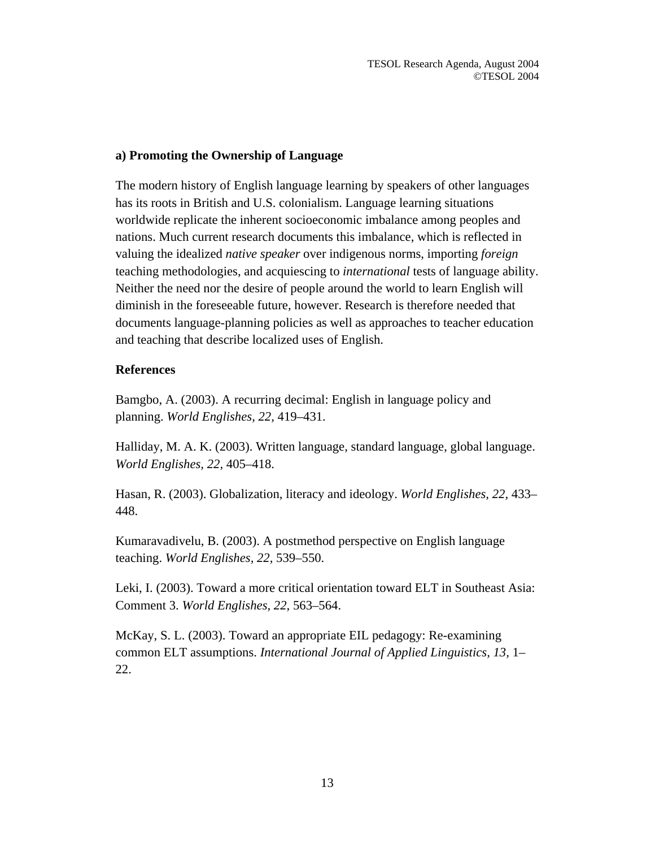# **a) Promoting the Ownership of Language**

The modern history of English language learning by speakers of other languages has its roots in British and U.S. colonialism. Language learning situations worldwide replicate the inherent socioeconomic imbalance among peoples and nations. Much current research documents this imbalance, which is reflected in valuing the idealized *native speaker* over indigenous norms, importing *foreign* teaching methodologies, and acquiescing to *international* tests of language ability. Neither the need nor the desire of people around the world to learn English will diminish in the foreseeable future, however. Research is therefore needed that documents language-planning policies as well as approaches to teacher education and teaching that describe localized uses of English.

# **References**

Bamgbo, A. (2003). A recurring decimal: English in language policy and planning. *World Englishes, 22,* 419–431.

Halliday, M. A. K. (2003). Written language, standard language, global language. *World Englishes, 22,* 405–418.

Hasan, R. (2003). Globalization, literacy and ideology. *World Englishes, 22,* 433– 448.

Kumaravadivelu, B. (2003). A postmethod perspective on English language teaching. *World Englishes, 22,* 539–550.

Leki, I. (2003). Toward a more critical orientation toward ELT in Southeast Asia: Comment 3. *World Englishes, 22,* 563–564.

McKay, S. L. (2003). Toward an appropriate EIL pedagogy: Re-examining common ELT assumptions. *International Journal of Applied Linguistics, 13,* 1– 22.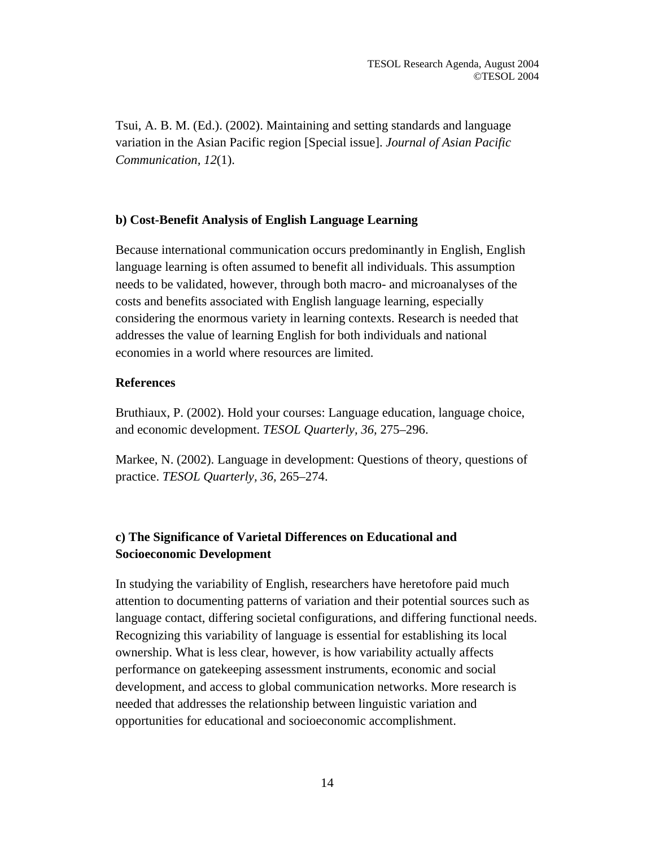Tsui, A. B. M. (Ed.). (2002). Maintaining and setting standards and language variation in the Asian Pacific region [Special issue]. *Journal of Asian Pacific Communication, 12*(1).

# **b) Cost-Benefit Analysis of English Language Learning**

Because international communication occurs predominantly in English, English language learning is often assumed to benefit all individuals. This assumption needs to be validated, however, through both macro- and microanalyses of the costs and benefits associated with English language learning, especially considering the enormous variety in learning contexts. Research is needed that addresses the value of learning English for both individuals and national economies in a world where resources are limited.

### **References**

Bruthiaux, P. (2002). Hold your courses: Language education, language choice, and economic development. *TESOL Quarterly, 36,* 275–296.

Markee, N. (2002). Language in development: Questions of theory, questions of practice. *TESOL Quarterly, 36,* 265–274.

# **c) The Significance of Varietal Differences on Educational and Socioeconomic Development**

In studying the variability of English, researchers have heretofore paid much attention to documenting patterns of variation and their potential sources such as language contact, differing societal configurations, and differing functional needs. Recognizing this variability of language is essential for establishing its local ownership. What is less clear, however, is how variability actually affects performance on gatekeeping assessment instruments, economic and social development, and access to global communication networks. More research is needed that addresses the relationship between linguistic variation and opportunities for educational and socioeconomic accomplishment.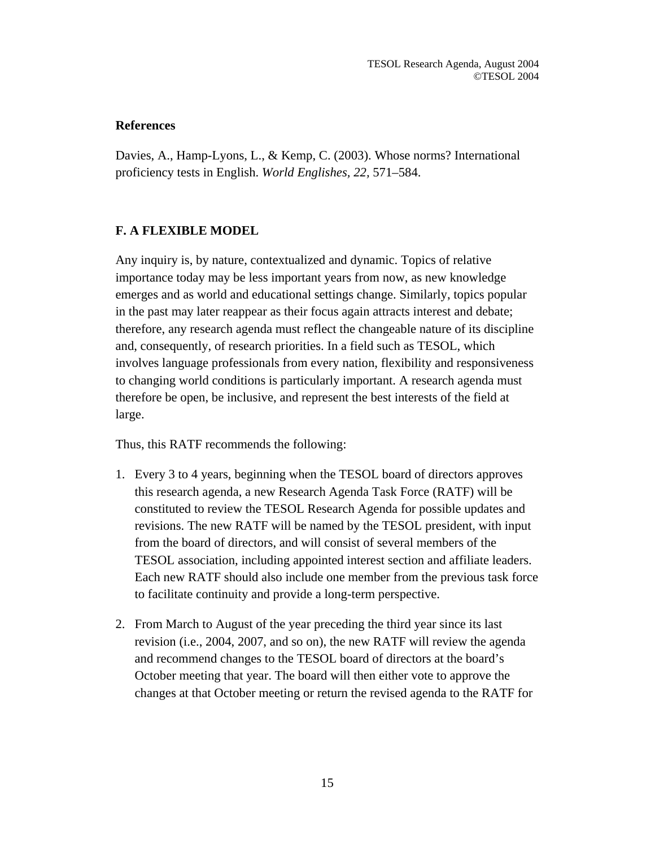# **References**

Davies, A., Hamp-Lyons, L., & Kemp, C. (2003). Whose norms? International proficiency tests in English. *World Englishes, 22,* 571–584.

# **F. A FLEXIBLE MODEL**

Any inquiry is, by nature, contextualized and dynamic. Topics of relative importance today may be less important years from now, as new knowledge emerges and as world and educational settings change. Similarly, topics popular in the past may later reappear as their focus again attracts interest and debate; therefore, any research agenda must reflect the changeable nature of its discipline and, consequently, of research priorities. In a field such as TESOL, which involves language professionals from every nation, flexibility and responsiveness to changing world conditions is particularly important. A research agenda must therefore be open, be inclusive, and represent the best interests of the field at large.

Thus, this RATF recommends the following:

- 1. Every 3 to 4 years, beginning when the TESOL board of directors approves this research agenda, a new Research Agenda Task Force (RATF) will be constituted to review the TESOL Research Agenda for possible updates and revisions. The new RATF will be named by the TESOL president, with input from the board of directors, and will consist of several members of the TESOL association, including appointed interest section and affiliate leaders. Each new RATF should also include one member from the previous task force to facilitate continuity and provide a long-term perspective.
- 2. From March to August of the year preceding the third year since its last revision (i.e., 2004, 2007, and so on), the new RATF will review the agenda and recommend changes to the TESOL board of directors at the board's October meeting that year. The board will then either vote to approve the changes at that October meeting or return the revised agenda to the RATF for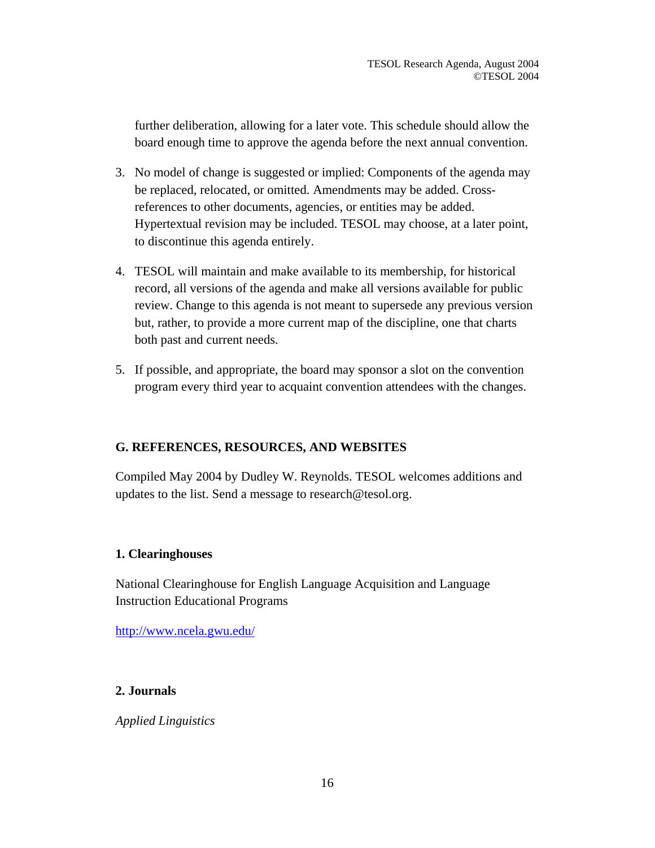further deliberation, allowing for a later vote. This schedule should allow the board enough time to approve the agenda before the next annual convention.

- 3. No model of change is suggested or implied: Components of the agenda may be replaced, relocated, or omitted. Amendments may be added. Crossreferences to other documents, agencies, or entities may be added. Hypertextual revision may be included. TESOL may choose, at a later point, to discontinue this agenda entirely.
- 4. TESOL will maintain and make available to its membership, for historical record, all versions of the agenda and make all versions available for public review. Change to this agenda is not meant to supersede any previous version but, rather, to provide a more current map of the discipline, one that charts both past and current needs.
- 5. If possible, and appropriate, the board may sponsor a slot on the convention program every third year to acquaint convention attendees with the changes.

# **G. REFERENCES, RESOURCES, AND WEBSITES**

Compiled May 2004 by Dudley W. Reynolds. TESOL welcomes additions and updates to the list. Send a message to research@tesol.org.

# **1. Clearinghouses**

National Clearinghouse for English Language Acquisition and Language Instruction Educational Programs

<http://www.ncela.gwu.edu/>

# **2. Journals**

*Applied Linguistics*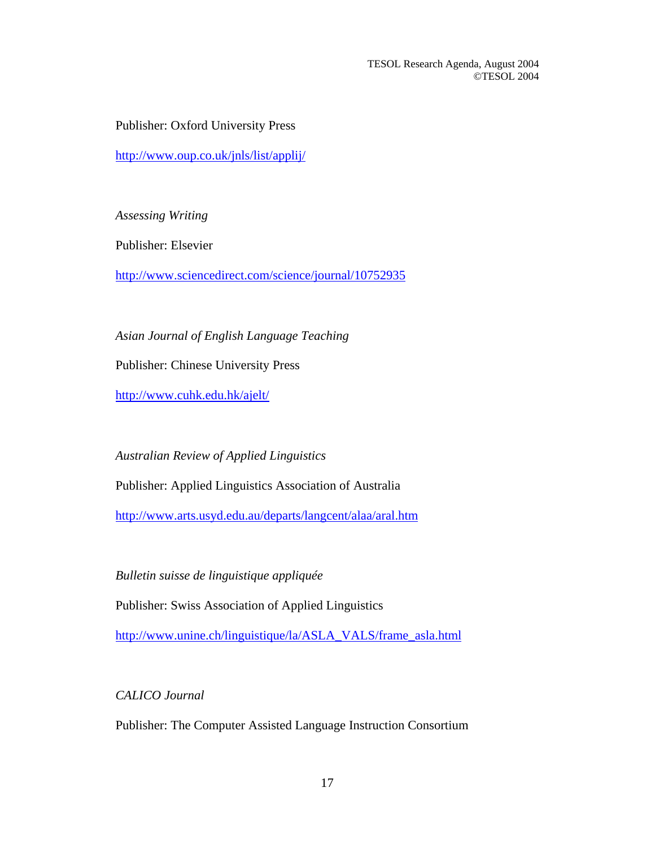Publisher: Oxford University Press

<http://www.oup.co.uk/jnls/list/applij/>

*Assessing Writing*

Publisher: Elsevier

<http://www.sciencedirect.com/science/journal/10752935>

*Asian Journal of English Language Teaching*

Publisher: Chinese University Press

<http://www.cuhk.edu.hk/ajelt/>

*Australian Review of Applied Linguistics* 

Publisher: Applied Linguistics Association of Australia

<http://www.arts.usyd.edu.au/departs/langcent/alaa/aral.htm>

*Bulletin suisse de linguistique appliquée* 

Publisher: Swiss Association of Applied Linguistics

[http://www.unine.ch/linguistique/la/ASLA\\_VALS/frame\\_asla.html](http://www.unine.ch/linguistique/la/ASLA_VALS/frame_asla.html)

*CALICO Journal*

Publisher: The Computer Assisted Language Instruction Consortium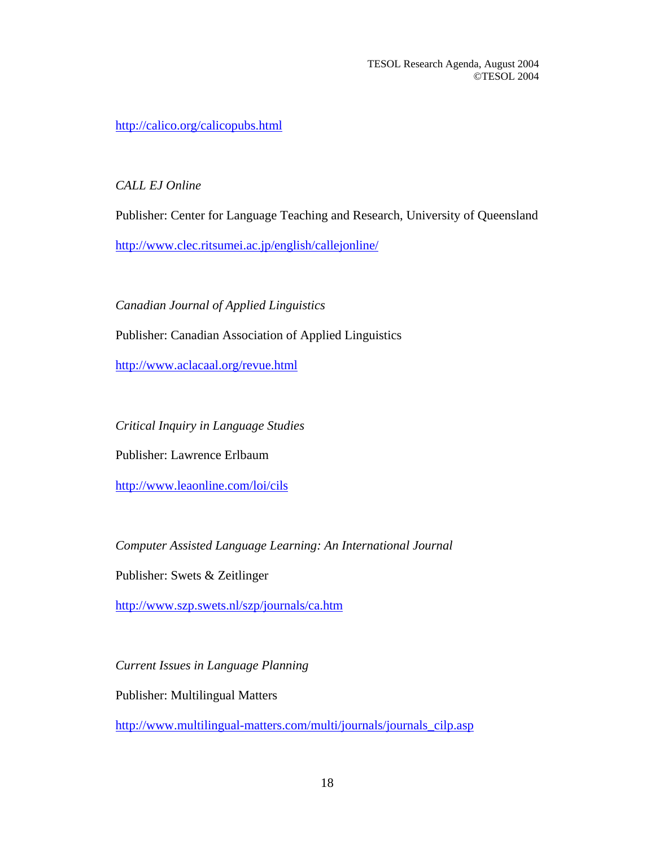<http://calico.org/calicopubs.html>

*CALL EJ Online* 

Publisher: Center for Language Teaching and Research, University of Queensland

<http://www.clec.ritsumei.ac.jp/english/callejonline/>

*Canadian Journal of Applied Linguistics*

Publisher: Canadian Association of Applied Linguistics

<http://www.aclacaal.org/revue.html>

*Critical Inquiry in Language Studies*

Publisher: Lawrence Erlbaum

<http://www.leaonline.com/loi/cils>

*Computer Assisted Language Learning: An International Journal* 

Publisher: Swets & Zeitlinger

<http://www.szp.swets.nl/szp/journals/ca.htm>

*Current Issues in Language Planning*

Publisher: Multilingual Matters

[http://www.multilingual-matters.com/multi/journals/journals\\_cilp.asp](http://www.multilingual-matters.com/multi/journals/journals_cilp.asp)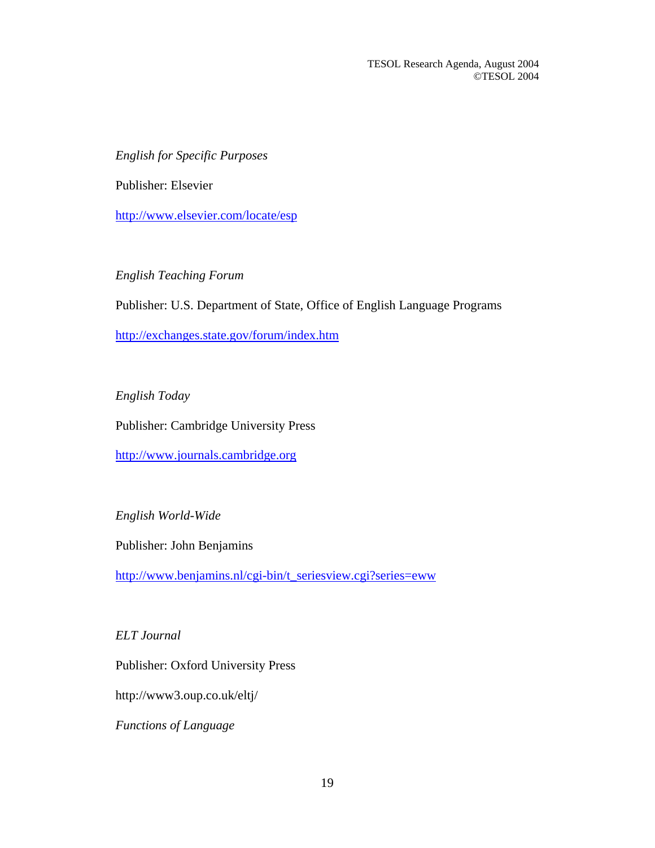*English for Specific Purposes* 

Publisher: Elsevier

<http://www.elsevier.com/locate/esp>

*English Teaching Forum* 

Publisher: U.S. Department of State, Office of English Language Programs

<http://exchanges.state.gov/forum/index.htm>

*English Today* 

Publisher: Cambridge University Press

[http://www.journals.cambridge.org](http://www.journals.cambridge.org/)

*English World-Wide* 

Publisher: John Benjamins

[http://www.benjamins.nl/cgi-bin/t\\_seriesview.cgi?series=eww](http://www.benjamins.nl/cgi-bin/t_seriesview.cgi?series=eww)

*ELT Journal* 

Publisher: Oxford University Press

http://www3.oup.co.uk/eltj/

*Functions of Language*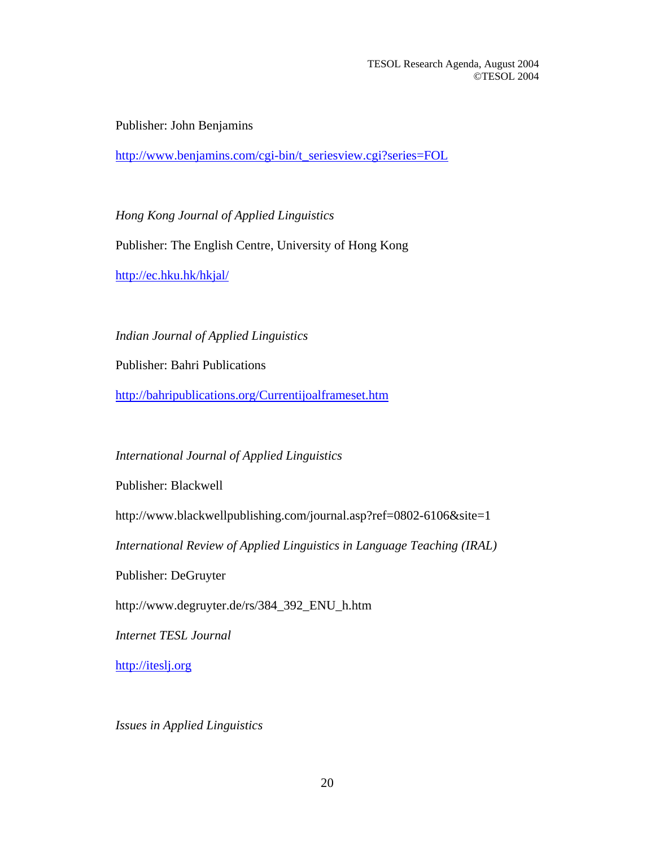Publisher: John Benjamins

[http://www.benjamins.com/cgi-bin/t\\_seriesview.cgi?series=FOL](http://www.benjamins.com/cgi-bin/t_seriesview.cgi?series=FOL)

*Hong Kong Journal of Applied Linguistics*  Publisher: The English Centre, University of Hong Kong <http://ec.hku.hk/hkjal/>

*Indian Journal of Applied Linguistics* 

Publisher: Bahri Publications

<http://bahripublications.org/Currentijoalframeset.htm>

# *International Journal of Applied Linguistics*

Publisher: Blackwell

http://www.blackwellpublishing.com/journal.asp?ref=0802-6106&site=1

*International Review of Applied Linguistics in Language Teaching (IRAL)*

Publisher: DeGruyter

http://www.degruyter.de/rs/384\_392\_ENU\_h.htm

*Internet TESL Journal* 

[http://iteslj.org](http://iteslj.org/)

*Issues in Applied Linguistics*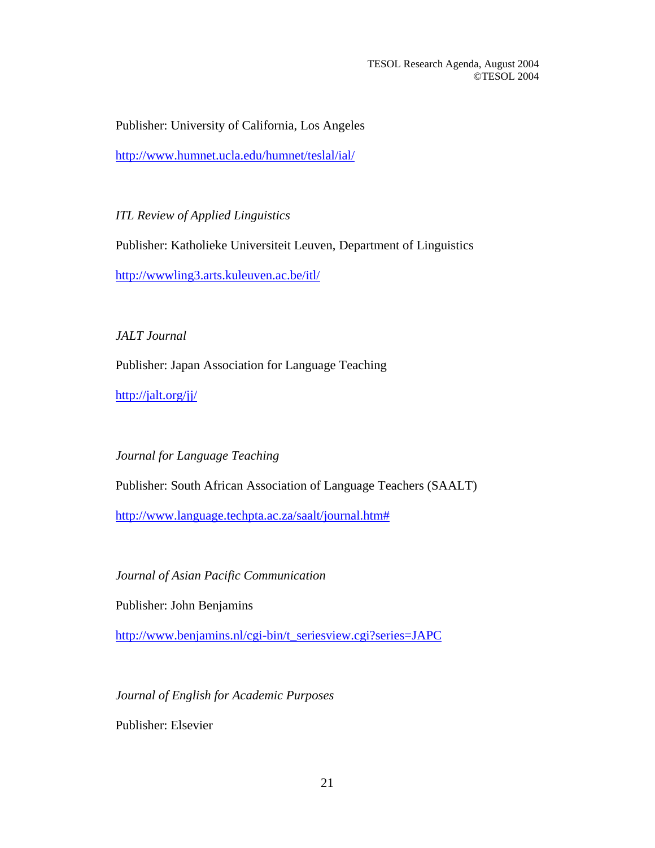Publisher: University of California, Los Angeles

<http://www.humnet.ucla.edu/humnet/teslal/ial/>

*ITL Review of Applied Linguistics* 

Publisher: Katholieke Universiteit Leuven, Department of Linguistics

<http://wwwling3.arts.kuleuven.ac.be/itl/>

*JALT Journal*

Publisher: Japan Association for Language Teaching

<http://jalt.org/jj/>

*Journal for Language Teaching* 

Publisher: South African Association of Language Teachers (SAALT)

[http://www.language.techpta.ac.za/saalt/journal.htm#](http://www.language.techpta.ac.za/saalt/journal.htm)

*Journal of Asian Pacific Communication*

Publisher: John Benjamins

[http://www.benjamins.nl/cgi-bin/t\\_seriesview.cgi?series=JAPC](http://www.benjamins.nl/cgi-bin/t_seriesview.cgi?series=JAPC)

*Journal of English for Academic Purposes* 

Publisher: Elsevier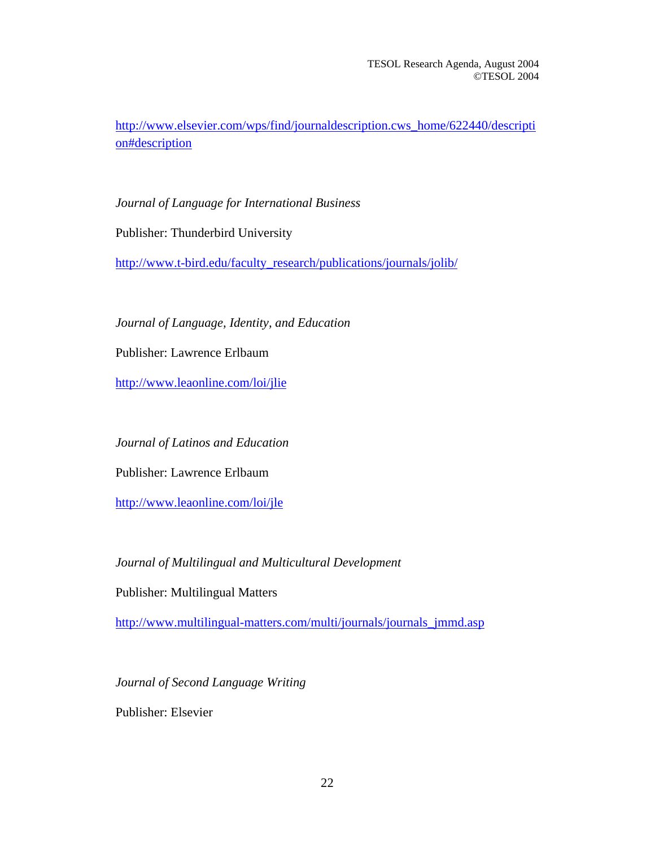http://www.elsevier.com/wps/find/journaldescription.cws\_home/622440/descripti on#description

*Journal of Language for International Business*

Publisher: Thunderbird University

[http://www.t-bird.edu/faculty\\_research/publications/journals/jolib/](http://www.t-bird.edu/faculty_research/publications/journals/jolib/)

*Journal of Language, Identity, and Education*

Publisher: Lawrence Erlbaum

<http://www.leaonline.com/loi/jlie>

*Journal of Latinos and Education* 

Publisher: Lawrence Erlbaum

<http://www.leaonline.com/loi/jle>

*Journal of Multilingual and Multicultural Development* 

Publisher: Multilingual Matters

[http://www.multilingual-matters.com/multi/journals/journals\\_jmmd.asp](http://www.multilingual-matters.com/multi/journals/journals_jmmd.asp)

*Journal of Second Language Writing* 

Publisher: Elsevier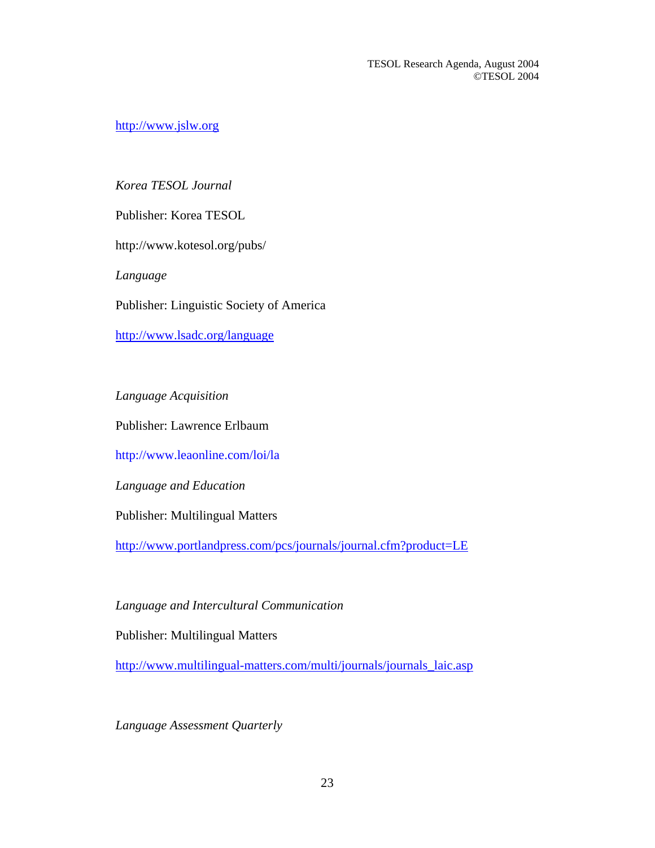[http://www.jslw.org](http://www.jslw.org/)

# *Korea TESOL Journal*

Publisher: Korea TESOL

http://www.kotesol.org/pubs/

*Language*

Publisher: Linguistic Society of America

<http://www.lsadc.org/language>

*Language Acquisition*

Publisher: Lawrence Erlbaum

http://www.leaonline.com/loi/la

*Language and Education* 

Publisher: Multilingual Matters

[http://www.portlandpress.com/pcs/journals/journal.cfm?product=LE](http://80-weblinks1.epnet.com.ezproxy.lib.uh.edu/externalframe.asp?tb=1&_ug=dbs+aph+sid+A99938BC%2D511A%2D43EF%2D8505%2D7388774E859B%40sessionmgr2+9814&_uh=btn+N+db+aph+idb+aphish+jdb+aphjnh+op+phrase+ss+ID++GHW+CFB0&_us=dstb+ES+sm+ES+99E7&_uso)

*Language and Intercultural Communication*

Publisher: Multilingual Matters

[http://www.multilingual-matters.com/multi/journals/journals\\_laic.asp](http://www.multilingual-matters.com/multi/journals/journals_laic.asp)

*Language Assessment Quarterly*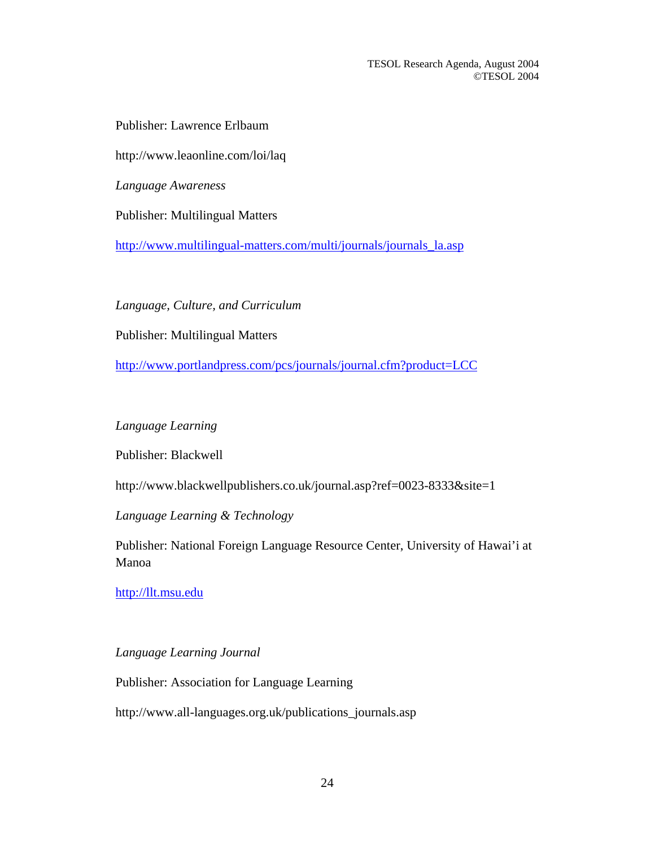Publisher: Lawrence Erlbaum

http://www.leaonline.com/loi/laq

*Language Awareness*

Publisher: Multilingual Matters

[http://www.multilingual-matters.com/multi/journals/journals\\_la.asp](http://www.multilingual-matters.com/multi/journals/journals_la.asp)

*Language, Culture, and Curriculum*

Publisher: Multilingual Matters

[http://www.portlandpress.com/pcs/journals/journal.cfm?product=LCC](http://80-weblinks2.epnet.com.ezproxy.lib.uh.edu/externalframe.asp?tb=1&_ug=dbs+aph+sid+90CBBCEC%2DC643%2D4083%2D9DE7%2D1ED349D86192%40sessionmgr2+B2A5&_uh=btn+N+db+aph+idb+aphish+jdb+aphjnh+op+phrase+ss+ID++GHX+97D3&_us=dstb+ES+sm+ES+99E7&_uso)

*Language Learning*

Publisher: Blackwell

http://www.blackwellpublishers.co.uk/journal.asp?ref=0023-8333&site=1

*Language Learning & Technology*

Publisher: National Foreign Language Resource Center, University of Hawai'i at Manoa

[http://llt.msu.edu](http://llt.msu.edu/)

*Language Learning Journal*

Publisher: Association for Language Learning

http://www.all-languages.org.uk/publications\_journals.asp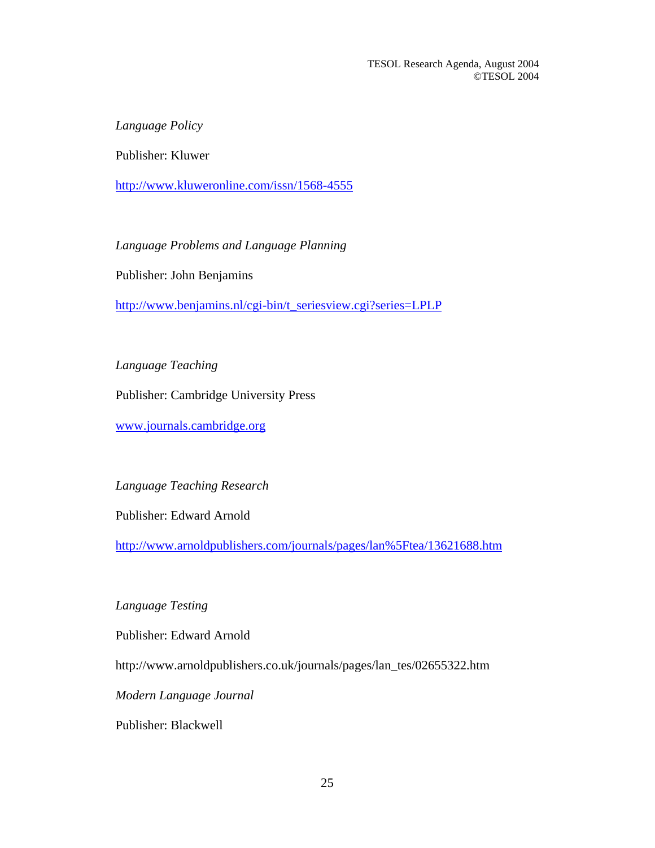*Language Policy* 

Publisher: Kluwer

<http://www.kluweronline.com/issn/1568-4555>

*Language Problems and Language Planning*

Publisher: John Benjamins

[http://www.benjamins.nl/cgi-bin/t\\_seriesview.cgi?series=LPLP](http://www.benjamins.nl/cgi-bin/t_seriesview.cgi?series=LPLP)

*Language Teaching* 

Publisher: Cambridge University Press

[www.journals.cambridge.org](http://www.journals.cambridge.org/)

*Language Teaching Research* 

Publisher: Edward Arnold

[http://www.arnoldpublishers.com/journals/pages/lan%5Ftea/13621688.htm](http://80-weblinks1.epnet.com.ezproxy.lib.uh.edu/externalframe.asp?tb=1&_ug=dbs+aph+sid+E1B90D7E%2D08F0%2D46AA%2DBBE1%2D67363DCAFB55%40sessionmgr2+9A01&_uh=btn+N+db+aph+idb+aphish+jdb+aphjnh+op+phrase+ss+ID++8NI+DC5F&_us=dstb+ES+sm+ES+99E7&_uso)

*Language Testing* 

Publisher: Edward Arnold

http://www.arnoldpublishers.co.uk/journals/pages/lan\_tes/02655322.htm

*Modern Language Journal* 

Publisher: Blackwell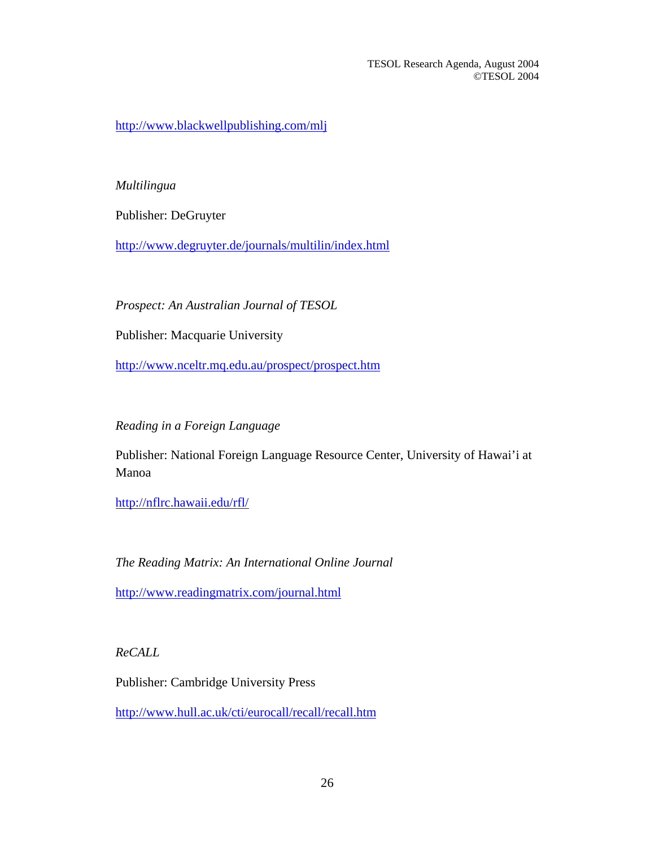<http://www.blackwellpublishing.com/mlj>

### *Multilingua*

Publisher: DeGruyter

<http://www.degruyter.de/journals/multilin/index.html>

*Prospect: An Australian Journal of TESOL* 

Publisher: Macquarie University

<http://www.nceltr.mq.edu.au/prospect/prospect.htm>

*Reading in a Foreign Language* 

Publisher: National Foreign Language Resource Center, University of Hawai'i at Manoa

<http://nflrc.hawaii.edu/rfl/>

*The Reading Matrix: An International Online Journal* 

<http://www.readingmatrix.com/journal.html>

*ReCALL* 

Publisher: Cambridge University Press

<http://www.hull.ac.uk/cti/eurocall/recall/recall.htm>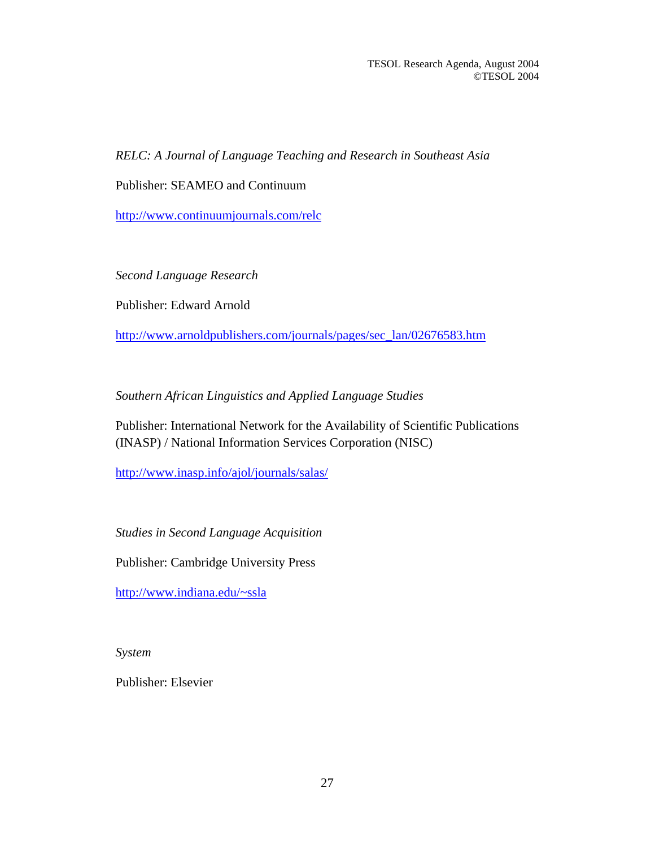*RELC: A Journal of Language Teaching and Research in Southeast Asia*

Publisher: SEAMEO and Continuum

<http://www.continuumjournals.com/relc>

*Second Language Research* 

Publisher: Edward Arnold

[http://www.arnoldpublishers.com/journals/pages/sec\\_lan/02676583.htm](http://www.arnoldpublishers.com/journals/pages/sec_lan/02676583.htm)

*Southern African Linguistics and Applied Language Studies*

Publisher: International Network for the Availability of Scientific Publications (INASP) / National Information Services Corporation (NISC)

<http://www.inasp.info/ajol/journals/salas/>

*Studies in Second Language Acquisition* 

Publisher: Cambridge University Press

<http://www.indiana.edu/~ssla>

*System* 

Publisher: Elsevier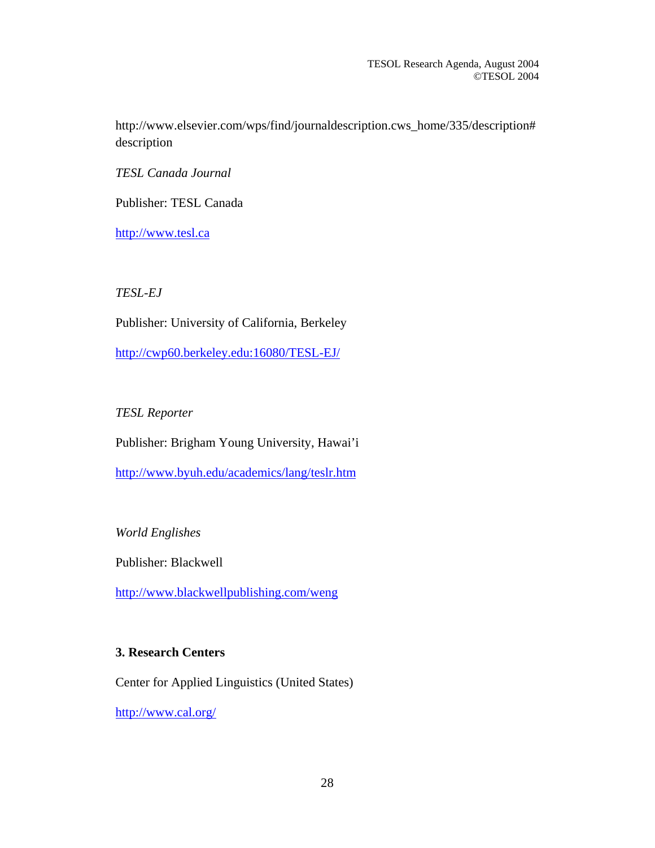http://www.elsevier.com/wps/find/journaldescription.cws\_home/335/description# description

*TESL Canada Journal* 

Publisher: TESL Canada

[http://www.tesl.ca](http://www.tesl.ca/)

*TESL-EJ* 

Publisher: University of California, Berkeley

<http://cwp60.berkeley.edu:16080/TESL-EJ/>

# *TESL Reporter*

Publisher: Brigham Young University, Hawai'i

<http://www.byuh.edu/academics/lang/teslr.htm>

*World Englishes*

Publisher: Blackwell

<http://www.blackwellpublishing.com/weng>

### **3. Research Centers**

Center for Applied Linguistics (United States)

<http://www.cal.org/>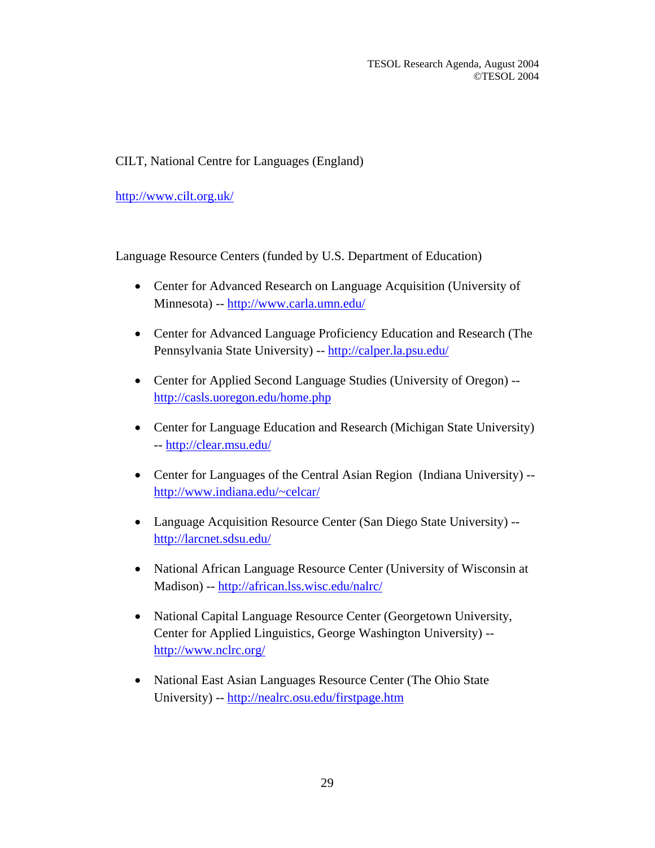# CILT, National Centre for Languages (England)

<http://www.cilt.org.uk/>

Language Resource Centers (funded by U.S. Department of Education)

- Center for Advanced Research on Language Acquisition (University of Minnesota) -- <http://www.carla.umn.edu/>
- Center for Advanced Language Proficiency Education and Research (The Pennsylvania State University) -- <http://calper.la.psu.edu/>
- Center for Applied Second Language Studies (University of Oregon) <http://casls.uoregon.edu/home.php>
- Center for Language Education and Research (Michigan State University) --<http://clear.msu.edu/>
- Center for Languages of the Central Asian Region (Indiana University) -<http://www.indiana.edu/~celcar/>
- Language Acquisition Resource Center (San Diego State University) <http://larcnet.sdsu.edu/>
- National African Language Resource Center (University of Wisconsin at Madison) --<http://african.lss.wisc.edu/nalrc/>
- National Capital Language Resource Center (Georgetown University, Center for Applied Linguistics, George Washington University) - <http://www.nclrc.org/>
- National East Asian Languages Resource Center (The Ohio State University) -- <http://nealrc.osu.edu/firstpage.htm>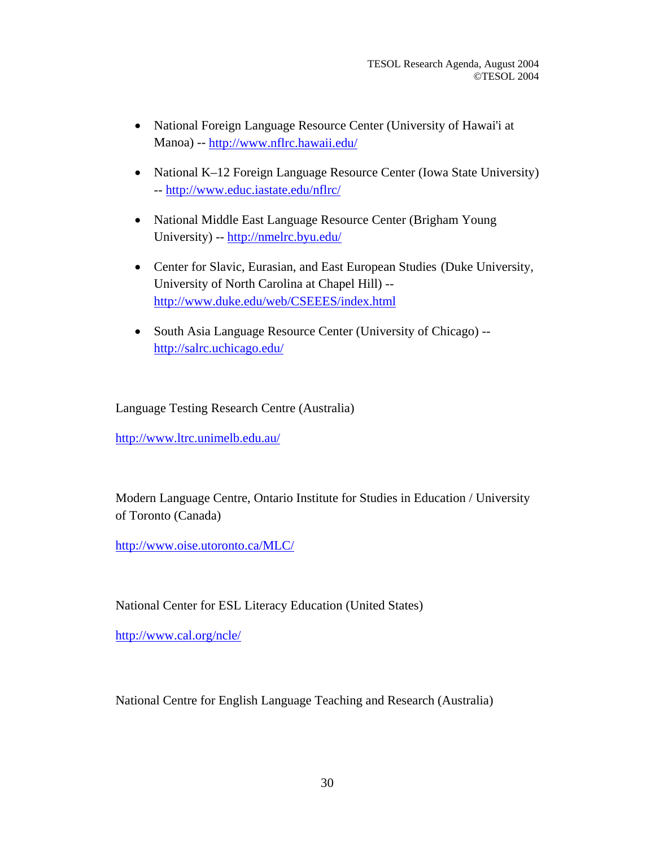- National Foreign Language Resource Center (University of Hawai'i at Manoa) --<http://www.nflrc.hawaii.edu/>
- National K–12 Foreign Language Resource Center (Iowa State University) --<http://www.educ.iastate.edu/nflrc/>
- National Middle East Language Resource Center (Brigham Young University) -- <http://nmelrc.byu.edu/>
- Center for Slavic, Eurasian, and East European Studies (Duke University, University of North Carolina at Chapel Hill) - <http://www.duke.edu/web/CSEEES/index.html>
- South Asia Language Resource Center (University of Chicago) <http://salrc.uchicago.edu/>

Language Testing Research Centre (Australia)

<http://www.ltrc.unimelb.edu.au/>

Modern Language Centre, Ontario Institute for Studies in Education / University of Toronto (Canada)

<http://www.oise.utoronto.ca/MLC/>

National Center for ESL Literacy Education (United States)

<http://www.cal.org/ncle/>

National Centre for English Language Teaching and Research (Australia)